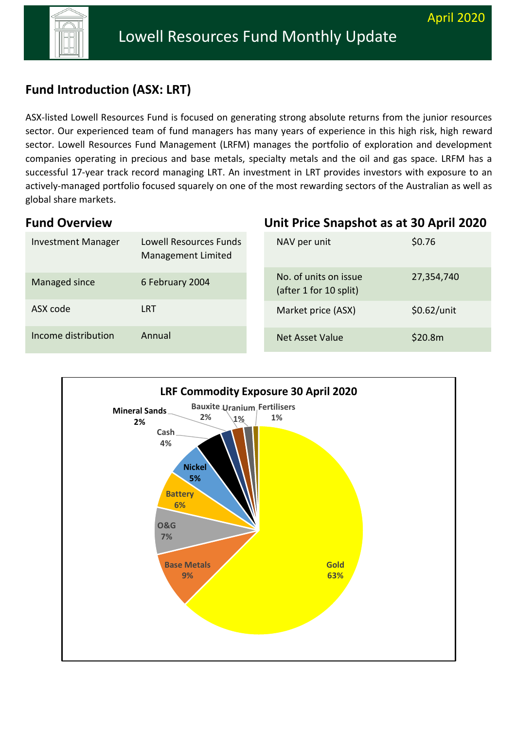

# **Fund Fund introduction (ASX: LRT) Introduction (ASX: LRT)**

ASX-listed Lowell Resources Fund is focused on generating strong absolute returns from the junior resources sector. Our experienced team of fund managers has many years of experience in this high risk, high reward sector. Lowell Resources Fund Management (LRFM) manages the portfolio of exploration and development companies operating in precious and base metals, specialty metals and the oil and gas space. LRFM has a successful 17-year track record managing LRT. An investment in LRT provides investors with exposure to an actively-managed portfolio focused squarely on one of the most rewarding sectors of the Australian as well as global share markets.

#### **Fund Overview**

#### Investment Manager Lowell Resources Funds Management Limited Managed since 6 February 2004 ASX code LRT Income distribution Annual NAV per unit \$0.76 No. of units on issue (after 1 for 10 split) 27,354,740 Market price (ASX) \$0.62/unit Net Asset Value \$20.8m

**Unit Price Snapshot as at 30 April 2020**

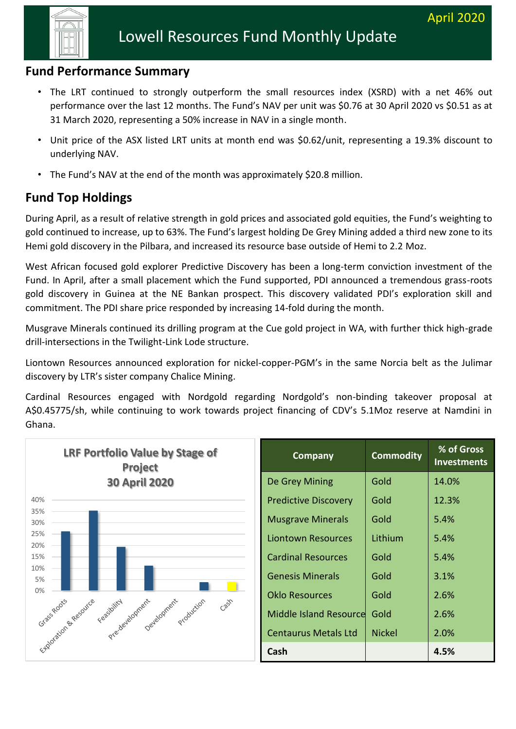

#### **Fund Performance Summary**

- The LRT continued to strongly outperform the small resources index (XSRD) with a net 46% out performance over the last 12 months. The Fund's NAV per unit was \$0.76 at 30 April 2020 vs \$0.51 as at 31 March 2020, representing a 50% increase in NAV in a single month.
	- Unit price of the ASX listed LRT units at month end was \$0.62/unit, representing a 19.3% discount to underlying NAV.
	- The Fund's NAV at the end of the month was approximately \$20.8 million.

## **Fund Top Holdings**

During April, as a result of relative strength in gold prices and associated gold equities, the Fund's weighting to gold continued to increase, up to 63%. The Fund's largest holding De Grey Mining added a third new zone to its Hemi gold discovery in the Pilbara, and increased its resource base outside of Hemi to 2.2 Moz.

West African focused gold explorer Predictive Discovery has been a long-term conviction investment of the Fund. In April, after a small placement which the Fund supported, PDI announced a tremendous grass-roots gold discovery in Guinea at the NE Bankan prospect. This discovery validated PDI's exploration skill and commitment. The PDI share price responded by increasing 14-fold during the month.

Musgrave Minerals continued its drilling program at the Cue gold project in WA, with further thick high-grade drill-intersections in the Twilight-Link Lode structure.

Liontown Resources announced exploration for nickel-copper-PGM's in the same Norcia belt as the Julimar discovery by LTR's sister company Chalice Mining.

Cardinal Resources engaged with Nordgold regarding Nordgold's non-binding takeover proposal at A\$0.45775/sh, while continuing to work towards project financing of CDV's 5.1Moz reserve at Namdini in Ghana.

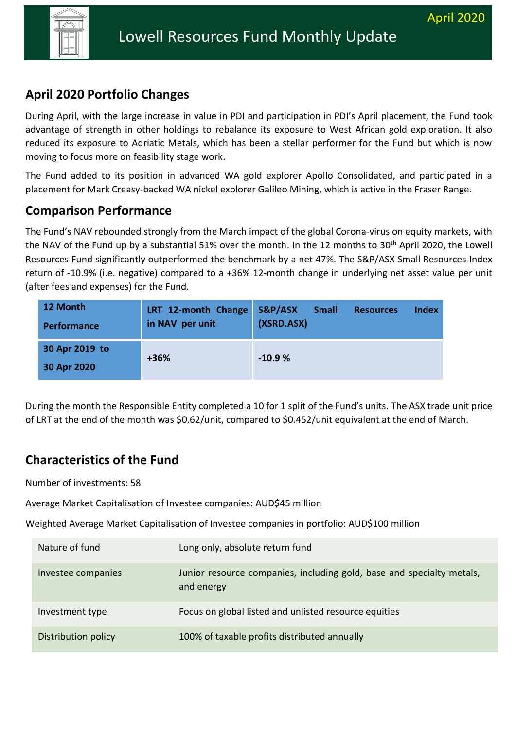

# **Fund introduction (ASX: LRT) April 2020 Portfolio Changes**

During April, with the large increase in value in PDI and participation in PDI's April placement, the Fund took advantage of strength in other holdings to rebalance its exposure to West African gold exploration. It also reduced its exposure to Adriatic Metals, which has been a stellar performer for the Fund but which is now moving to focus more on feasibility stage work.

The Fund added to its position in advanced WA gold explorer Apollo Consolidated, and participated in a placement for Mark Creasy-backed WA nickel explorer Galileo Mining, which is active in the Fraser Range.

## **Comparison Performance**

The Fund's NAV rebounded strongly from the March impact of the global Corona-virus on equity markets, with the NAV of the Fund up by a substantial 51% over the month. In the 12 months to 30<sup>th</sup> April 2020, the Lowell Resources Fund significantly outperformed the benchmark by a net 47%. The S&P/ASX Small Resources Index return of -10.9% (i.e. negative) compared to a +36% 12-month change in underlying net asset value per unit (after fees and expenses) for the Fund.

| 12 Month<br><b>Performance</b> | LRT 12-month Change<br>in NAV per unit | S&P/ASX<br>(XSRD.ASX) | <b>Small</b> | <b>Resources</b> | Index |
|--------------------------------|----------------------------------------|-----------------------|--------------|------------------|-------|
| 30 Apr 2019 to<br>30 Apr 2020  | +36%                                   | $-10.9%$              |              |                  |       |

During the month the Responsible Entity completed a 10 for 1 split of the Fund's units. The ASX trade unit price of LRT at the end of the month was \$0.62/unit, compared to \$0.452/unit equivalent at the end of March.

## **Characteristics of the Fund**

Number of investments: 58

Average Market Capitalisation of Investee companies: AUD\$45 million

Weighted Average Market Capitalisation of Investee companies in portfolio: AUD\$100 million

| Nature of fund      | Long only, absolute return fund                                                     |
|---------------------|-------------------------------------------------------------------------------------|
| Investee companies  | Junior resource companies, including gold, base and specialty metals,<br>and energy |
| Investment type     | Focus on global listed and unlisted resource equities                               |
| Distribution policy | 100% of taxable profits distributed annually                                        |